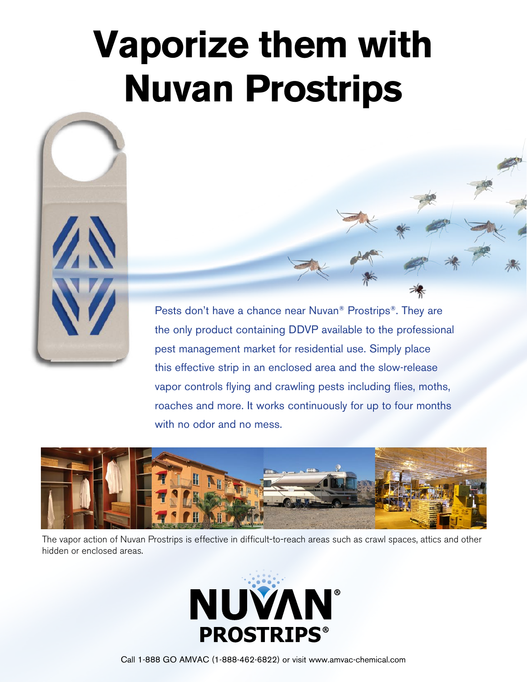# **Vaporize them with Nuvan Prostrips**



Pests don't have a chance near Nuvan® Prostrips®. They are the only product containing DDVP available to the professional pest management market for residential use. Simply place this effective strip in an enclosed area and the slow-release vapor controls flying and crawling pests including flies, moths, roaches and more. It works continuously for up to four months with no odor and no mess.



The vapor action of Nuvan Prostrips is effective in difficult-to-reach areas such as crawl spaces, attics and other hidden or enclosed areas.



Call 1-888 GO AMVAC (1-888-462-6822) or visit www.amvac-chemical.com